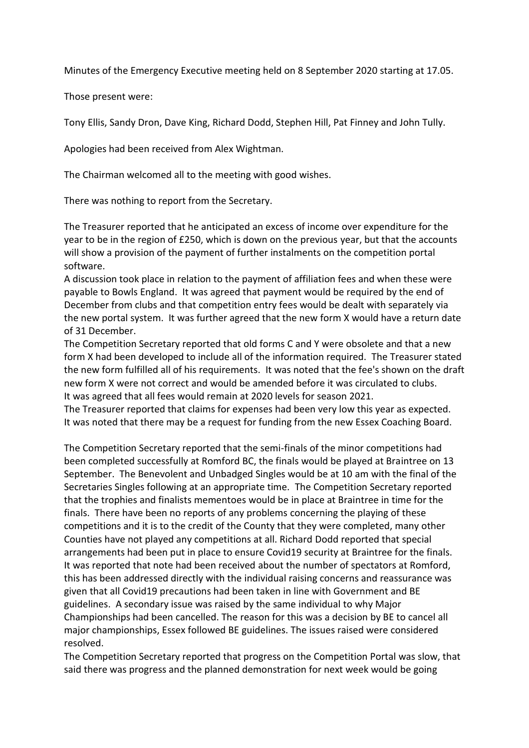Minutes of the Emergency Executive meeting held on 8 September 2020 starting at 17.05.

Those present were:

Tony Ellis, Sandy Dron, Dave King, Richard Dodd, Stephen Hill, Pat Finney and John Tully.

Apologies had been received from Alex Wightman.

The Chairman welcomed all to the meeting with good wishes.

There was nothing to report from the Secretary.

The Treasurer reported that he anticipated an excess of income over expenditure for the year to be in the region of £250, which is down on the previous year, but that the accounts will show a provision of the payment of further instalments on the competition portal software.

A discussion took place in relation to the payment of affiliation fees and when these were payable to Bowls England. It was agreed that payment would be required by the end of December from clubs and that competition entry fees would be dealt with separately via the new portal system. It was further agreed that the new form X would have a return date of 31 December.

The Competition Secretary reported that old forms C and Y were obsolete and that a new form X had been developed to include all of the information required. The Treasurer stated the new form fulfilled all of his requirements. It was noted that the fee's shown on the draft new form X were not correct and would be amended before it was circulated to clubs. It was agreed that all fees would remain at 2020 levels for season 2021.

The Treasurer reported that claims for expenses had been very low this year as expected. It was noted that there may be a request for funding from the new Essex Coaching Board.

The Competition Secretary reported that the semi-finals of the minor competitions had been completed successfully at Romford BC, the finals would be played at Braintree on 13 September. The Benevolent and Unbadged Singles would be at 10 am with the final of the Secretaries Singles following at an appropriate time. The Competition Secretary reported that the trophies and finalists mementoes would be in place at Braintree in time for the finals. There have been no reports of any problems concerning the playing of these competitions and it is to the credit of the County that they were completed, many other Counties have not played any competitions at all. Richard Dodd reported that special arrangements had been put in place to ensure Covid19 security at Braintree for the finals. It was reported that note had been received about the number of spectators at Romford, this has been addressed directly with the individual raising concerns and reassurance was given that all Covid19 precautions had been taken in line with Government and BE guidelines. A secondary issue was raised by the same individual to why Major Championships had been cancelled. The reason for this was a decision by BE to cancel all major championships, Essex followed BE guidelines. The issues raised were considered resolved.

The Competition Secretary reported that progress on the Competition Portal was slow, that said there was progress and the planned demonstration for next week would be going